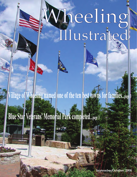# Wheeling Illustrated

**Village of Wheeling named one of the ten best towns for families....page 3**

# **Blue Star Veterans' Memorial Park completed....page 3**

**September/October 2008**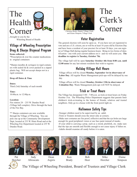

...brought to you by the Wheeling Board of Health Voter Registration

# Village of Wheeling Prescription Drug & Sharps Disposal Program

#### **Items collected:**

\*Prescription & over the counter medications in original containers

\*Sharps (needles & syringes) in rigid containers with sealed lid & cover packed in a zipped plastic bag. Will not accept sharps not in a rigid container.

**Drop off Dates & Time**

**Dates:** Third (3rd) Saturday of each month

**Time:** 10:00a.m. to 12:00p.m.

#### **Location:**

Fire station 24 – 255 W. Dundee Road (Village hall complex). Drive through the back of the Fire Bay.

\*\* Sharps containers are now available through the Village of Wheeling. You can pick one up at the Community Development Dept, located at 233 W. Hintz Road and at the Wheeling Fire Department located at 255 W. Dundee Road.



#### Christine Brady, Deputy Village Clerk, and Elaine Simpson, Village Clerk

# The Clerk's Corner

The general election will soon be upon us. If you have not yet registered to vote and are a U.S. citizen, are or will be at least 18 years old by Election Day and have been a resident of your precinct for at least 30 days, you can register at Village Hall during regular business hours. Bring in two forms of identification - one with your current address on it - and we will assist you. **The deadline to register is Tuesday, October 7th.**

The village hall will be open **Saturday October 4th from 8:00 a.m. until 12:00 noon** for any last minute residents that wish to register.

# Holiday Village Hall Hours

Village offices will be closed **Monday, September 1st in observance of Labor Day**. All regular Waste Management pick-ups will be delayed by one day.

Village offices will be closed **Monday, October 13th in observance of Columbus Day**. Waste Management pick-ups will NOT be delayed.

# Trick or Treat Hours

The Village has designated 3:00 - 7:00 p.m. as trick-or-treat hours on Friday October 31st. The Wheeling Police Department suggests that parents limit children's trick-or-treating to the homes of friends, relatives and trusted neighbors. Only go to a house with the front porch light on.

# Halloween Safety Tips

- -Younger children need to be supervised by an adult.
- -Trick or Treaters should cross the street only at corners.

-Make sure costumes are fire proof, reflective and that the eye holes are large enough for good peripheral vision or use face paint instead of masks.

-If your child is carrying a prop, such as a sword, pitchfork, etc. make sure that the tips are smooth and flexible enough to not cause injury if fallen on. -Adults should examine all candy before it is eaten.







Dean









2 Pat Horcher

Judy Abruscato

Argiris

Ken Brady

Bob Heer

Mike Horcher

Elaine Simpson

The Village of Wheeling President, Board of Trustees and Village Clerk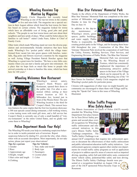

# Wheeling Receives Top **Mention by Magazine**<br>Family Circle Magazine has recently listed

Wheeling as one of the top ten towns in the country to live and raise kids. The magazine ran a special sec-

tion in their August edition which listed the best towns for families based on certain criteria. The magazine looked for towns which have an affordable cost of living, good jobs and good schools. "The people in our best towns know and care about their neighbors and have pride of place. What could be better places for families to call home?" stated Linda Fears, Editor in Chief of Family Circle.

Other traits which made Wheeling stand out were the diverse population and environmentally friendly initiatives that have been made. Wheeling's five 'pocket parks' which the village transformed from vacant lots into green spaces with benches, waterfalls, flag poles and flowers received a mention by the magazine as well. Acting Village President Patrick Horcher agrees that Wheeling is a great town for families, "We have a nice little community where you can start a family and grow into retirement. It's a place that we hope feels as much like home to people who arrived yesterday as it does to families like mine, which has been here for 160 years."

# Wheeling Welcomes New Restaurant



Wheeling's newest eatery, Cooper's Hawk Winery and Restaurant, opened their doors to the public July 21st after a ceremonial ribbon cutting at their newest location at 583 N. Milwaukee Ave, located just in front of the Westin Hotel. The new Wheeling location is the third for Cooper's Hawk. This newest loca-

tion features the same staples that the first two locations showcase: a 300 seat upscale casual dining restaurant, a full working winery, a wine tasting room with retail gift store, and a full service bar. Cooper's Hawk is currently one of only a small handful of "winery-restaurants" in the entire United States, and we gladly welcome them to Wheeling!

# Police Department Needs Your Help!

The Wheeling PD needs your help in combating suspicious behavior in order to tackle potential acts of terrorism. Report suspicious behavior by dialing 911, provide the who, what, where, when with an accurate description. Most importantly, do not take action, please just report your observations!

|  |  | Tips for a person |  |  | <b>Tips for Vehicles</b> |
|--|--|-------------------|--|--|--------------------------|
|--|--|-------------------|--|--|--------------------------|

- 1. Gender 1. Year, make and model
- 2. Race 2. Body type
- 3.Approximate age 3. Passengers
- 4. Height, weight 4. License plate 5. Hair color and length 5. Color
- 6.Clothing



# Blue Star Veterans' Memorial Park

Thanks to the efforts of the Department of Public Works, the Blue Star Veterans' Memorial Park was completed at the inter-

section of Milwaukee and Dundee in time for Flag Day on June 14.

In addition to the day-today maintenance of Wheeling's streets, green spaces, public buildings, and water supply, Public Works is responsible for



creating pocket parks in the Village, and for keeping them beautiful throughout the year. Construction of the Blue Star Veterans' Memorial Park involved the cooperation of staff from the Utility, Forestry, Building Services, Fleet Services, and Engineering Divisions of Public Works. The Blue Star Veterans'



Memorial Park was envisioned by the Wheeling Board of Trustees, which has consistently emphasized the importance of maintaining attractive public spaces in the heart of the Village which can be enjoyed by all. In naming Wheeling one of the "10

Best Towns for Families", Family Circle magazine singled out Wheeling's pocket parks for particular praise.

Citizens with suggestions of other ways we might beautify our community are encouraged to share them with Village staff by using the "Speak Out" form in this issue of Wheeling Illustrated.

# Police Traffic Program

Wins Safety Award<br>The Illinois Association of Chiefs of Police (IACP) recently

awarded the Wheeling Police Department first place honors for its Teen Driver Safety programs and second place overall recognition for Wheeling's traffic enforcement and educational initiatives in this year's Illinois Traffic Safety Challenge competition. The Traffic Safety Challenge is an



annual IACP competition that requires law enforcement agencies to document the effectiveness of their traffic enforcement and public information/education traffic safety initiatives. Law enforcement agencies compete against other similar size departments for overall traffic safety programs as well as application of projects to address specific areas of concern such as impaired driving, speeding, safety belt and child safety seats, commercial motor vehicle safety, pedestrian/bike safety and teen driving. The Illinois Traffic Safety Challenge Awards were pre-

sented at a recognition breakfast on August 13th as part of the IACP sponsored Police/Security Expo in Rosemont.

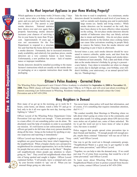# Is the Most Important Appliance in your Home Working Properly?

Which appliance in your home works 24 hours a day, 7 days a week, never takes a holiday, is often overlooked, usually

quiet, and you and your family may not live without it? The answer is your smoke detectors. National statistics have shown over and over again that a properly functioning smoke detector increases your chances of surviving a fire in your home by more than 50 percent. Approximately 10 years ago, it was not uncommon for the Fire Department to respond to a structure fire and find that the home did not have



a smoke detector. Fortunately, due to increased awareness, ready availability, and relatively low purchase prices, smoke detectors are a very common feature in most homes. Unfortunately, a new problem has arisen – lack of maintenance or improper installation.

Smoke detectors should be installed according to the manufacturer's instructions which are usually on the smoke detector packaging or on a separate instruction sheet inside the packaging.

Take the time to read it completely. As a minimum, smoke detectors should be installed on each level of your home, as

> well as outside each sleeping area and in particularly large rooms (ex. family and living rooms.) While smoke detectors can be mounted on the wall, they have been shown to be more effective when mounted on the ceiling. Do not place smoke detectors directly outside of bathrooms since they can falsely activate due to steam and humidity. Also do not place smoke detectors directly in the kitchen since cooking fumes can cause false activations resulting in people likely to remove the battery from the smoke detector and forgetting to put it back in afterwards.

Several times a year, each smoke detector should be vacuumed to remove cobwebs, spider nests, and dust from the smoke detector's sensors. Finally, change each smoke detector's batteries at least annually. Pick a date and think of that date as the smoke detector's birthday by giving it a present – a new battery. Easy dates to remember are when we change our clocks due to daylight savings, your birthday, your children's birthday, your anniversary, or an annual special holiday (ex. Thanksgiving.)

#### Citizen's Police Academy - Corrected Dates

The Wheeling Police Department's next Citizen's Police Academy is scheduled for **September 4, 2008 to November 13, 2008.** These FREE classes will meet Thursday evenings from 7:00p.m. to 9:30p.m. and will cover just about everything of interest concerning Law Enforcement in Wheeling. Residents wanting more information should contact the Crime Prevention unit at 847-459-2994.

#### Nosy Neighbors in Demand

How many of us get up in the morning, go to work for 8 hours, come home, eat dinner, watch a little TV and go to bed, only to do it all over again the next day, leaving crime fighting to "others"?

Officer Laverd of the Wheeling Police Department Crime Prevention Unit says that's not enough. "Crime prevention is a team effort; it's not something police can do alone. We absolutely need the help of residents in order to accomplish our mission. It's well known in law enforcement that police officers get paid to do full time what every person should be doing all the time: being on the lookout for anything or anyone suspicious and reporting it immediately."

Officer Laverd says having nosy neighbors is great. "Nosy neighbors are great because they know what's happening in the neighborhood. When a burglar checks out a prospective neighborhood for criminal opportunities, he's on the lookout for people that are active and aware on the block." Burglars call neighborhoods where people pay attention to what's going on, "hot." They avoid hot neighborhoods where their risk of being spotted and caught is higher. Officer Laverd explained further, "I tell people, leave a notepad and a pen by your favorite window to 'spy' out of. When you see unusual things going on, take notes.

You never know when police will need that information, and of course, if it's something that requires immediate attention, dial 9-1-1."

"We conduct monthly Beat Meetings in Wheeling where we talk about what's going on crime-wise in the community, and month after month I'm telling people about GPS devices that were stolen out of parked cars, some of them unlocked. We try to get the word out not to leave items of value in plain view, but more is needed."

Police suggest that people spread crime prevention tips to their friends and families. "If enough people tell enough people, maybe these criminal 'fishermen' will run out of fish to catch," said Officer Laverd.

One way to get the word out is through community groups. "Neighborhood Watch is a great way to get together to talk about crime prevention," said Officer Laverd.

"Together, we can help to take the demand away. If we could just stop 1% of crime from occurring, that would be a lot of crime prevented," said Officer Laverd.

To learn more about Wheeling Police Beat Meetings, Neighborhood Watch or how to protect yourself from becoming a victim, contact Officer Laverd at 847-459-2994.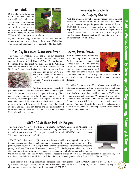**g**

**P**

#### Got Mail?

Did you know. . . the Village of Wheeling has Standards for residential mail boxes which have been approved by the U.S. Postal Service. All mailbox supports and any variation to the Standard must be approved by the



Village of Wheeling prior to installation.

If you would like a copy of the Standard for mailboxes and proper installation, it is available on the Village of Wheeling web site or call Community Development at 847-229-4750.

## One-Day Document Destruction Event

The Village of Wheeling is hosting a one-day document destruction event (DDE), sponsored by the Solid Waste Agency of Northern Cook County (SWANCC), on Saturday, September 27th. The event will take place at the Wheeling Metra Station East Commuter Lot located at Dundee Road and Northgate Parkway from 9:00a.m. to 11:00a.m. - rain or shine.



The collection is for SWANCCmember residents at no charge. Proof of residency will be required. Wheeling is a member of SWANCC.

Residents may bring residentially

generated paper, such as medical forms, bank statements, personal files, retired tax forms and receipts for shredding. Place paper documents into a bag or box for easy removal. It is not necessary to remove paper clips and staples. Binders will need to be removed. No materials from businesses, schools or other institutions will be accepted. Documents will be placed in a toter and loaded to a shredder on site. The documents will be cross-shredded, baled and recycled. Please contact 847- 229-4626 with any questions.

# Reminder to Landlords and Property Owners

With the imminent arrival of cooler weather, our Municipal Inspectors would like to remind all landlords and residential property owners that per Property Maintenance Ordinance 15.16.001 (d), heat must be supplied to your building from September 15th – May 15th and kept at a temperature no lower than 68 degrees. If you have any questions regarding this Ordinance please contact our Community Development Department at 847-229-4750.

#### Leaves, leaves, leaves….

With the arrival of the autumn season, the Department of Public Works reminds residents that Village Code 11.08.100 prohibits the deposit of leaves into streets and gutters. Leaves intentionally raked into streets and gutters have a clear



and immediate effect on the Village's storm sewer system. It can result in clogged storm sewer inlets and subsequent flooding.

The Village's contract with Waste Management provides an alternate, convenient method to dispose leaves and other forms of landscape waste. In addition to biodegradable paper landscape waste bags, residents may use 32-33 gallon containers (marked with a red "X" around the body of the container) that are emptied and returned to the resident. Containers, when filled, may not exceed 45 pounds in weight. There is no limit to the amount of landscape waste paper bags or containers. Landscape collections will continue until mid- December.

## SWANCC At Home Pick-Up Program

The Solid Waste Agency of Northern Cook County (SWANCC) sponsors an At Home Pick-Up Program to assist residents with reusing, recycling and disposing of waste in an environmentally friendly manner. The program is available to all SWANCC-member residents. Wheeling is a member of SWANCC.

SWANCC will collect up to six (6) items for \$25.00 on a resident's front porch or steps. Items that are accepted include personal computer systems (desktop or notebook), monitors, CPUs, printers, scanners, fax machines, typewriters, answering machines and telephones, shredders, postage machines, TVs (max 27"- no wood consoles), VHS/DVD players, radios/boom boxes, stereo equipment, microwaves, cell phones and calculators. Cell phones and calculators are



the only items not counted as an item. Items not accepted include TVs over 27" or wood consoles, air conditioners, copy machines, humidifiers/dehumidifiers, small/large home appliances, power tools, software, disks, CDs or DVDs.

To participate in this pick-up program and schedule a collection, please contact SWANCC directly at 847-724-9205 or by email at athome@swancc.org. For more information on the At Home Pick-Up Program, visit www.swancc.org/recy-<br>cling/computerelectronicsathome.html, or contact 847-724-9205.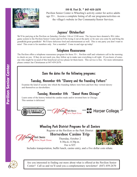

#### 199 N. First St. \* 847-459-2670

Pavilion Senior Center is Wheeling's activity center for active adults age 55+. Access a complete listing of all our programs/activities on the village's website in Our Community/Senior Services.

# Jaycees' Oktoberfest

We'll be partying at the Pavilion on Saturday, October 11th at 12:00 noon. The Jaycees have donated a Wii video game system to the Pavilion Senior Center and we'll be trying it out at the party so be sure you come by and bring the grandkids/great-grandkids! We'll have delicious food and entertainment as well. This is one party you don't want to miss! This event is for members only. Not a member? Come in and sign up today!

# Telephone Reassurance

The Pavilion offers a telephone reassurance program for those 55+. Pavilion staff and volunteers call in the morning to check on you. If they do not reach you, they follow up to make sure everything is all right. If you know of someone who might be in need of this beneficial service please let them know. This service is free. For more information please contact Jan Christiansen at 847-459-2670.



# Wheeling Park District Programs for all Seniors

Register at the Pavilion or the Park District

# **Horseshoe Casino Trip**

**heeling** Park District le're People Driven

Thursday, October 2 8:30a.m.-4:30p.m. Fee is \$35



Includes transportation, buffet lunch, casino entry, and a five dollar coin rebate.



Are you interested in finding out more about what is offered at the Pavilion Senior Center? Call us and we'll send you a complementary newsletter! (847) 459-2670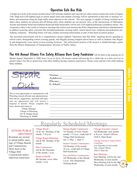# Operation Safe Bus Ride

A bright new look on the streets around school will welcome students and warn drivers when classes resume the week of August 25th. High tech LED lighted signs at school speed zones and student crossings will be operational at that time to increase visibility and awareness along the high traffic areas adjacent to the schools. The new signage is capable of being switched on at times when students are present and off during times when students are not present. Also, at the intersections of Milwaukee Avenue and Dundee Road and Elmhurst Road and Hintz Road there will be new LED lighted pedestrian countdown timers. The cooperative effort is the result of extensive meetings this school year between the Police Department and School Administration to address recurring safety concerns that included pedestrian crossing safety, school speed zone violations and pedestrian jaywalking violations. Wheeling Police will also conduct increased enforcement as part of this back-to-school project.

The increased enforcement will be a comprehensive project dubbed "Operation Safe Bus Ride" targeting drivers speeding in school zones, disregarding school crossing guards, and illegally passing stopped school buses as well as students who illegally and dangerously cross streets at non-crossing locations. The enforcement portion of the project is funded through a grant from the Illinois Department of Transportation, Division of Traffic Safety.

## The 4th Annual Illinois Fire Safety Alliance Burn Camp Fundraiser will be held in the parking lot of

Market Square September 6, 2008 from 11a.m. to 5p.m. All monies raised will provide for a child who is a burn survivor to attend Camp I Am Me to spend time with other children having common experiences. Please come and have fun while helping these children.



Wheeling elected officials and administrators. Your advice, suggestions, questions and opinions are appreciated and will receive a response if desired. Please complete this form, detach and return to:

> Village Manager Village of Wheeling 255 W. Dundee Road Wheeling, IL 60090

Name: Address: Phone:  $E-Mail:$ 

# Regularly Scheduled Meetings

#### ATTEND PUBLIC **MEETINGS**

Residents are invited to attend public meetings of Village Boards and Commissions. Most meet in the Village Hall Councilroom unless otherwise noted here.

#### Village Board - 1st & 3rd Mondays of the month, 7:30 p.m.

Village Board Workshop-2nd & 4th Monday of the month

Plan Commission - 2nd & 4th Thursdays of the month, 7 p.m.

#### Board of Health - 4th Tuesday, every other

month, 7 p.m.

#### Human Rights Commission -

\_\_\_\_\_\_\_\_\_\_\_\_\_\_\_\_\_\_\_\_\_\_\_\_\_\_\_\_\_\_\_\_\_\_\_\_\_\_\_\_\_\_\_\_\_\_\_\_

\_\_\_\_\_\_\_\_\_\_\_\_\_\_\_\_\_\_\_\_\_\_\_\_\_\_\_\_\_\_\_\_\_\_\_\_\_\_\_\_\_\_\_\_\_\_\_\_\_\_\_\_\_\_\_\_\_ \_\_\_\_\_\_\_\_\_\_\_\_\_\_\_\_\_\_\_\_\_\_\_\_\_\_\_\_\_\_\_\_\_\_\_\_\_\_\_\_\_\_\_\_\_\_\_\_\_\_\_\_\_\_\_\_\_ \_\_\_\_\_\_\_\_\_\_\_\_\_\_\_\_\_\_\_\_\_\_\_\_\_\_\_\_\_\_\_\_\_\_\_\_\_\_\_\_\_\_\_\_\_\_\_\_\_\_\_\_\_\_\_\_\_ \_\_\_\_\_\_\_\_\_\_\_\_\_\_\_\_\_\_\_\_\_\_\_\_\_\_\_\_\_\_\_\_\_\_\_\_\_\_\_\_\_\_\_\_\_\_\_\_\_\_\_\_\_\_\_\_\_ \_\_\_\_\_\_\_\_\_\_\_\_\_\_\_\_\_\_\_\_\_\_\_\_\_\_\_\_\_\_\_\_\_\_\_\_\_\_\_\_\_\_\_\_\_\_\_\_\_\_\_\_\_\_\_\_\_ \_\_\_\_\_\_\_\_\_\_\_\_\_\_\_\_\_\_\_\_\_\_\_\_\_\_\_\_\_\_\_\_\_\_\_\_\_\_\_\_\_\_\_\_\_\_\_\_\_\_\_\_\_\_\_\_\_

> 1st Tuesday of every fourth month, 7:15 p.m., south half of Village Hall lunchroom. Jan. 2, May 1, Sept. 4

Senior Citizens Commission - 3rd Monday of the month, 10 a.m., south half of Village Hall lunchroom

#### Fire and Police Commission -

3rd Wednesday of the Month, 2 p.m., Fire Department Training Room

Chicago Executive Airport-3rd Wednesday each month, 6:30 p.m., Airport Offices, 1020 S. Plant Road.

#### Chicago Executive Airport PACE **Committee**

Last Thursday of each month 7pm, Airport Offices 1020 S. Plant Rd

#### Beat Meetings -

East Meeting will be the 2nd Wednesday of each month. West Meeting will be the 4th Wednesday of each month.